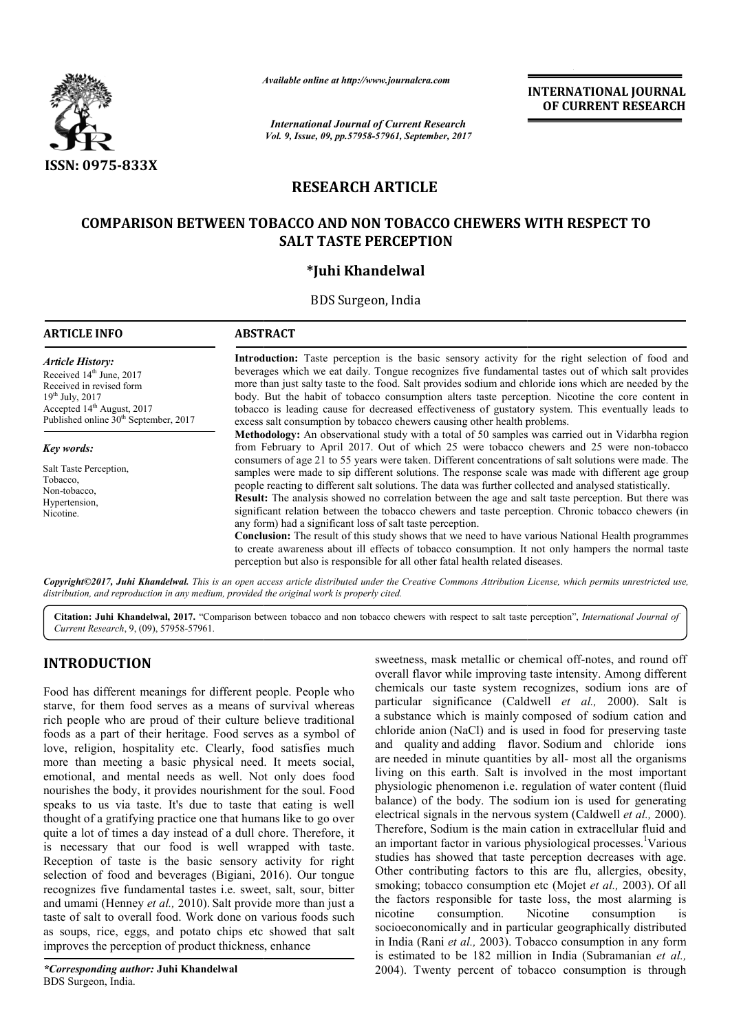

*Available online at http://www.journal*

# **RESEARCH ARTICLE**

## **COMPARISON BETWEEN TOBACCO AND NON TOBACCO CHEWERS WITH RESPECT TO WITH RESPECT SALT TASTE PERCEPTION**

## **\*Juhi Khandelwal**

| <b>ISSN: 0975-833X</b>                                                                                                                                                                                             | Available online at http://www.journalcra.com<br><b>International Journal of Current Research</b><br>Vol. 9, Issue, 09, pp.57958-57961, September, 2017                                                                                                                                                                                                                                                                                                                                                                                                                                                                                                                                                                                                                                                                                                                                                 | <b>INTERNATIONAL JOURNAL</b><br>OF CURRENT RESEARCH |
|--------------------------------------------------------------------------------------------------------------------------------------------------------------------------------------------------------------------|---------------------------------------------------------------------------------------------------------------------------------------------------------------------------------------------------------------------------------------------------------------------------------------------------------------------------------------------------------------------------------------------------------------------------------------------------------------------------------------------------------------------------------------------------------------------------------------------------------------------------------------------------------------------------------------------------------------------------------------------------------------------------------------------------------------------------------------------------------------------------------------------------------|-----------------------------------------------------|
|                                                                                                                                                                                                                    | <b>RESEARCH ARTICLE</b>                                                                                                                                                                                                                                                                                                                                                                                                                                                                                                                                                                                                                                                                                                                                                                                                                                                                                 |                                                     |
|                                                                                                                                                                                                                    | <b>COMPARISON BETWEEN TOBACCO AND NON TOBACCO CHEWERS WITH RESPECT TO</b><br><b>SALT TASTE PERCEPTION</b>                                                                                                                                                                                                                                                                                                                                                                                                                                                                                                                                                                                                                                                                                                                                                                                               |                                                     |
|                                                                                                                                                                                                                    | *Juhi Khandelwal                                                                                                                                                                                                                                                                                                                                                                                                                                                                                                                                                                                                                                                                                                                                                                                                                                                                                        |                                                     |
|                                                                                                                                                                                                                    | BDS Surgeon, India                                                                                                                                                                                                                                                                                                                                                                                                                                                                                                                                                                                                                                                                                                                                                                                                                                                                                      |                                                     |
| <b>ARTICLE INFO</b>                                                                                                                                                                                                | <b>ABSTRACT</b>                                                                                                                                                                                                                                                                                                                                                                                                                                                                                                                                                                                                                                                                                                                                                                                                                                                                                         |                                                     |
| <b>Article History:</b><br>Received 14 <sup>th</sup> June, 2017<br>Received in revised form<br>$19^{th}$ July, 2017<br>Accepted 14 <sup>th</sup> August, 2017<br>Published online 30 <sup>th</sup> September, 2017 | Introduction: Taste perception is the basic sensory activity for the right selection of food and<br>beverages which we eat daily. Tongue recognizes five fundamental tastes out of which salt provides<br>more than just salty taste to the food. Salt provides sodium and chloride ions which are needed by the<br>body. But the habit of tobacco consumption alters taste perception. Nicotine the core content in<br>tobacco is leading cause for decreased effectiveness of gustatory system. This eventually leads to<br>excess salt consumption by tobacco chewers causing other health problems.                                                                                                                                                                                                                                                                                                 |                                                     |
| Key words:                                                                                                                                                                                                         | Methodology: An observational study with a total of 50 samples was carried out in Vidarbha region<br>from February to April 2017. Out of which 25 were tobacco chewers and 25 were non-tobacco                                                                                                                                                                                                                                                                                                                                                                                                                                                                                                                                                                                                                                                                                                          |                                                     |
| Salt Taste Perception,<br>Tobacco,<br>Non-tobacco,<br>Hypertension,<br>Nicotine.                                                                                                                                   | consumers of age 21 to 55 years were taken. Different concentrations of salt solutions were made. The<br>samples were made to sip different solutions. The response scale was made with different age group<br>people reacting to different salt solutions. The data was further collected and analysed statistically.<br>Result: The analysis showed no correlation between the age and salt taste perception. But there was<br>significant relation between the tobacco chewers and taste perception. Chronic tobacco chewers (in<br>any form) had a significant loss of salt taste perception.<br><b>Conclusion:</b> The result of this study shows that we need to have various National Health programmes<br>to create awareness about ill effects of tobacco consumption. It not only hampers the normal taste<br>perception but also is responsible for all other fatal health related diseases. |                                                     |
|                                                                                                                                                                                                                    | Copyright©2017, Juhi Khandelwal. This is an open access article distributed under the Creative Commons Attribution License, which permits unrestricted use,<br>distribution, and reproduction in any medium, provided the original work is properly cited.<br>Citation: Juhi Khandelwal, 2017. "Comparison between tobacco and non tobacco chewers with respect to salt taste perception", International Journal of                                                                                                                                                                                                                                                                                                                                                                                                                                                                                     |                                                     |

Citation: Juhi Khandelwal, 2017. "Comparison between tobacco and non tobacco chewers with respect to salt taste perception", *International Journal of Current Research*, 9, (09), 57958-57961.

# **INTRODUCTION**

Food has different meanings for different people. People who starve, for them food serves as a means of survival whereas rich people who are proud of their culture believe traditional foods as a part of their heritage. Food serves as a symbol of love, religion, hospitality etc. Clearly, food satisfies much more than meeting a basic physical need. It meets social, emotional, and mental needs as well. Not only does food nourishes the body, it provides nourishment for the soul. Food speaks to us via taste. It's due to taste that eating is well thought of a gratifying practice one that humans like to go over quite a lot of times a day instead of a dull chore. Therefore, it is necessary that our food is well wrapped with taste. Reception of taste is the basic sensory activity for right selection of food and beverages (Bigiani, 2016). Our tongue recognizes five fundamental tastes i.e. sweet, salt, sour, bitter and umami (Henney *et al.,* 2010). Salt provide more than just a taste of salt to overall food. Work done on various foods such as soups, rice, eggs, and potato chips etc showed that salt improves the perception of product thickness, e et, salt, sou<br>ide more th<br>various fo<br>c showed<br>s, enhance

sweetness, mask metallic or chemical off-notes, and round off overall flavor while improving taste intensity. Among different chemicals our taste system recognizes, sodium ions are of chemicals our taste system recognizes, sodium ions are of particular significance (Caldwell *et al., 2000)*. Salt is a substance which is mainly composed of sodium cation and chloride anion (NaCl) and is used in food for preserving taste and quality and adding flavor. Sodium and chloride ions are needed in minute quantities by all- most all the organisms living on this earth. Salt is involved in the most important living on this earth. Salt is involved in the most important physiologic phenomenon i.e. regulation of water content (fluid balance) of the body. The sodium ion is used for generating balance) of the body. The sodium ion is used for generating electrical signals in the nervous system (Caldwell *et al.*, 2000). Therefore, Sodium is the main cation in extracellular fluid and Therefore, Sodium is the main cation in extracellular fluid and an important factor in various physiological processes.<sup>1</sup>Various studies has showed that taste perception decreases with age. Other contributing factors to this are flu, allergies, obesity, studies has showed that taste perception decreases with age.<br>Other contributing factors to this are flu, allergies, obesity, smoking; tobacco consumption etc (Mojet *et al.*, 2003). Of all the factors responsible for taste loss, the most alarming is<br>nicotine consumption. Nicotine consumption is consumption. Nicotine consumption is the factors responsible for taste loss, the most alarming is<br>nicotine consumption. Nicotine consumption is<br>socioeconomically and in particular geographically distributed in India (Rani *et al.,* 2003). Tobacco consumption in any form in India (Rani *et al.*, 2003). Tobacco consumption in any form is estimated to be 182 million in India (Subramanian *et al.*, 2004). Twenty percent of tobacco consumption is through **INTERNATTONAL JOUENALE (OF CURRENT RESEARCHED (OF CURRENT RESEARCHED (OF CURRENT RESEARCHED)<br>
The means of the signal state of the signal state of the signal state of the signal state of the signal state of the signal st**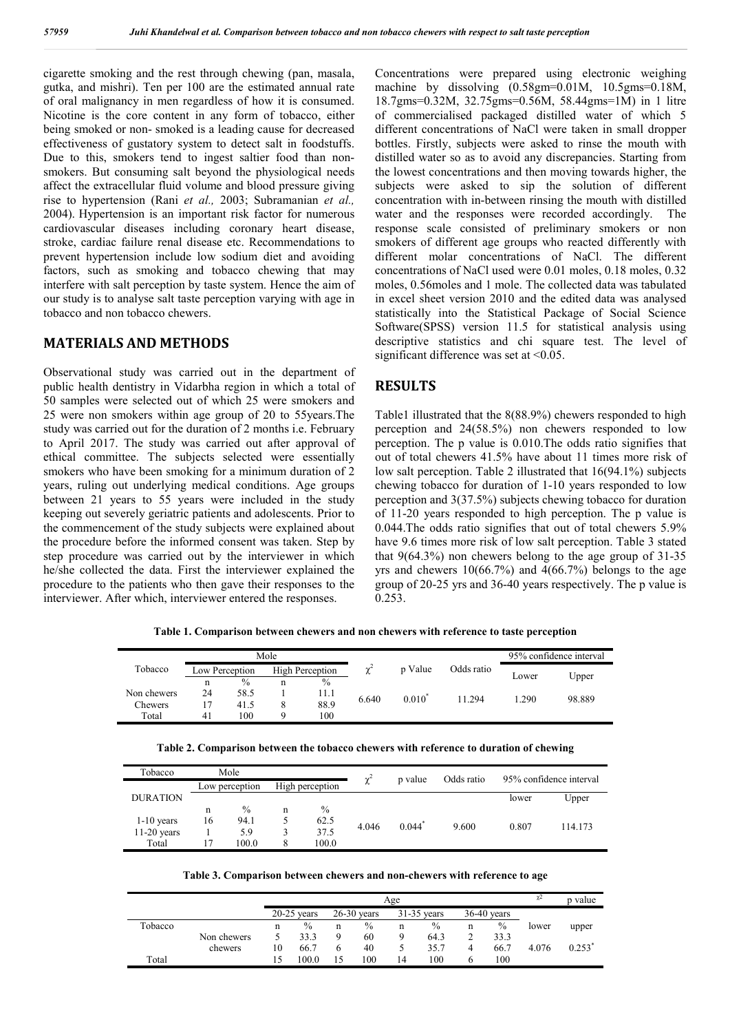cigarette smoking and the rest through chewing (pan, masala, gutka, and mishri). Ten per 100 are the estimated annual rate of oral malignancy in men regardless of how it is consumed. Nicotine is the core content in any form of tobacco, either being smoked or non- smoked is a leading cause for decreased effectiveness of gustatory system to detect salt in foodstuffs. Due to this, smokers tend to ingest saltier food than nonsmokers. But consuming salt beyond the physiological needs affect the extracellular fluid volume and blood pressure giving rise to hypertension (Rani *et al.,* 2003; Subramanian *et al.,*  2004). Hypertension is an important risk factor for numerous cardiovascular diseases including coronary heart disease, stroke, cardiac failure renal disease etc. Recommendations to prevent hypertension include low sodium diet and avoiding factors, such as smoking and tobacco chewing that may interfere with salt perception by taste system. Hence the aim of our study is to analyse salt taste perception varying with age in tobacco and non tobacco chewers.

### **MATERIALS AND METHODS**

Observational study was carried out in the department of public health dentistry in Vidarbha region in which a total of 50 samples were selected out of which 25 were smokers and 25 were non smokers within age group of 20 to 55years.The study was carried out for the duration of 2 months i.e. February to April 2017. The study was carried out after approval of ethical committee. The subjects selected were essentially smokers who have been smoking for a minimum duration of 2 years, ruling out underlying medical conditions. Age groups between 21 years to 55 years were included in the study keeping out severely geriatric patients and adolescents. Prior to the commencement of the study subjects were explained about the procedure before the informed consent was taken. Step by step procedure was carried out by the interviewer in which he/she collected the data. First the interviewer explained the procedure to the patients who then gave their responses to the interviewer. After which, interviewer entered the responses.

Concentrations were prepared using electronic weighing machine by dissolving (0.58gm=0.01M, 10.5gms=0.18M, 18.7gms=0.32M, 32.75gms=0.56M, 58.44gms=1M) in 1 litre of commercialised packaged distilled water of which 5 different concentrations of NaCl were taken in small dropper bottles. Firstly, subjects were asked to rinse the mouth with distilled water so as to avoid any discrepancies. Starting from the lowest concentrations and then moving towards higher, the subjects were asked to sip the solution of different concentration with in-between rinsing the mouth with distilled water and the responses were recorded accordingly. The response scale consisted of preliminary smokers or non smokers of different age groups who reacted differently with different molar concentrations of NaCl. The different concentrations of NaCl used were 0.01 moles, 0.18 moles, 0.32 moles, 0.56moles and 1 mole. The collected data was tabulated in excel sheet version 2010 and the edited data was analysed statistically into the Statistical Package of Social Science Software(SPSS) version 11.5 for statistical analysis using descriptive statistics and chi square test. The level of significant difference was set at <0.05.

### **RESULTS**

Table1 illustrated that the 8(88.9%) chewers responded to high perception and 24(58.5%) non chewers responded to low perception. The p value is 0.010.The odds ratio signifies that out of total chewers 41.5% have about 11 times more risk of low salt perception. Table 2 illustrated that 16(94.1%) subjects chewing tobacco for duration of 1-10 years responded to low perception and 3(37.5%) subjects chewing tobacco for duration of 11-20 years responded to high perception. The p value is 0.044.The odds ratio signifies that out of total chewers 5.9% have 9.6 times more risk of low salt perception. Table 3 stated that 9(64.3%) non chewers belong to the age group of 31-35 yrs and chewers  $10(66.7%)$  and  $4(66.7%)$  belongs to the age group of 20-25 yrs and 36-40 years respectively. The p value is 0.253.

|  |  |  |  |  | Table 1. Comparison between chewers and non chewers with reference to taste perception |  |  |
|--|--|--|--|--|----------------------------------------------------------------------------------------|--|--|
|  |  |  |  |  |                                                                                        |  |  |

|             |                |      | Mole                   |      |       |          |            | 95% confidence interval |        |  |
|-------------|----------------|------|------------------------|------|-------|----------|------------|-------------------------|--------|--|
| Tobacco     | Low Perception |      | <b>High Perception</b> |      |       | p Value  | Odds ratio | Lower                   | Upper  |  |
|             | n              | $\%$ | n                      | $\%$ |       |          |            |                         |        |  |
| Non chewers | 24             | 58.5 |                        | 11.1 | 6.640 | $0.010*$ | 11 294     | .290                    | 98.889 |  |
| Chewers     |                | 41.5 |                        | 88.9 |       |          |            |                         |        |  |
| Total       | 41             | 100  | Q                      | 100  |       |          |            |                         |        |  |

| Table 2. Comparison between the tobacco chewers with reference to duration of chewing |  |
|---------------------------------------------------------------------------------------|--|
|                                                                                       |  |

| Tobacco         | Mole           |               |                 |               |       |          | Odds ratio | 95% confidence interval |         |  |  |
|-----------------|----------------|---------------|-----------------|---------------|-------|----------|------------|-------------------------|---------|--|--|
|                 | Low perception |               | High perception |               | χ     | p value  |            |                         |         |  |  |
| <b>DURATION</b> |                |               |                 |               |       |          |            | lower                   | Upper   |  |  |
|                 | n              | $\frac{0}{0}$ | n               | $\frac{0}{0}$ |       |          |            |                         |         |  |  |
| $1-10$ years    | 16             | 94.1          |                 | 62.5          | 4.046 | $0.044*$ | 9.600      | 0.807                   | 114.173 |  |  |
| $11-20$ years   |                | 5.9           |                 | 37.5          |       |          |            |                         |         |  |  |
| Total           | 17             | 100.0         | 8               | 100.0         |       |          |            |                         |         |  |  |

|  |  |  |  |  | Table 3. Comparison between chewers and non-chewers with reference to age |  |  |  |  |
|--|--|--|--|--|---------------------------------------------------------------------------|--|--|--|--|
|--|--|--|--|--|---------------------------------------------------------------------------|--|--|--|--|

|         |             |    |                                                                  | χ2 | p value |    |               |   |               |       |           |
|---------|-------------|----|------------------------------------------------------------------|----|---------|----|---------------|---|---------------|-------|-----------|
|         |             |    | $20-25$ years<br>$26-30$ vears<br>$31-35$ years<br>$36-40$ years |    |         |    |               |   |               |       |           |
| Tobacco |             | n  | $\frac{0}{0}$                                                    | n  | $\%$    | n  | $\frac{0}{0}$ | n | $\frac{0}{0}$ | lower | upper     |
|         | Non chewers |    | 33.3                                                             |    | 60      |    | 64.3          |   | 33.3          |       |           |
|         | chewers     | 10 | 66.7                                                             |    | 40      |    | 35.7          | 4 | 66.7          | 4.076 | $0.253^*$ |
| Total   |             | 15 | 100.0                                                            |    | 100     | 14 | 100           | h | 100           |       |           |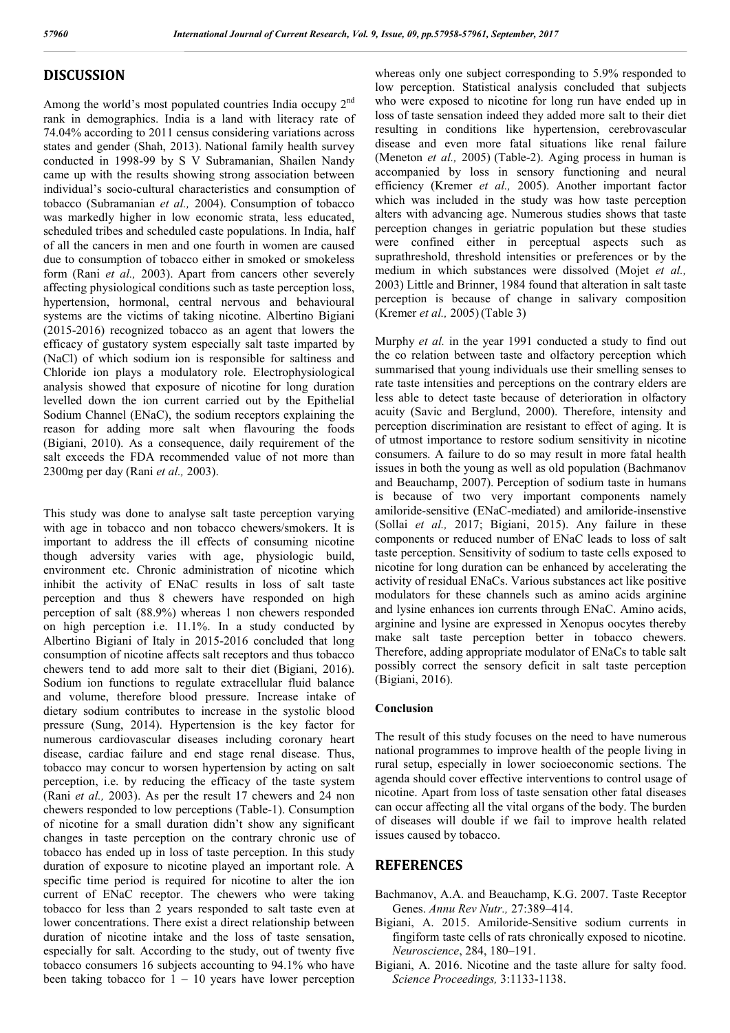### **DISCUSSION**

Among the world's most populated countries India occupy 2<sup>nd</sup> rank in demographics. India is a land with literacy rate of 74.04% according to 2011 census considering variations across states and gender (Shah, 2013). National family health survey conducted in 1998-99 by S V Subramanian, Shailen Nandy came up with the results showing strong association between individual's socio-cultural characteristics and consumption of tobacco (Subramanian *et al.,* 2004). Consumption of tobacco was markedly higher in low economic strata, less educated, scheduled tribes and scheduled caste populations. In India, half of all the cancers in men and one fourth in women are caused due to consumption of tobacco either in smoked or smokeless form (Rani *et al.,* 2003). Apart from cancers other severely affecting physiological conditions such as taste perception loss, hypertension, hormonal, central nervous and behavioural systems are the victims of taking nicotine. Albertino Bigiani (2015-2016) recognized tobacco as an agent that lowers the efficacy of gustatory system especially salt taste imparted by (NaCl) of which sodium ion is responsible for saltiness and Chloride ion plays a modulatory role. Electrophysiological analysis showed that exposure of nicotine for long duration levelled down the ion current carried out by the Epithelial Sodium Channel (ENaC), the sodium receptors explaining the reason for adding more salt when flavouring the foods (Bigiani, 2010). As a consequence, daily requirement of the salt exceeds the FDA recommended value of not more than 2300mg per day (Rani *et al.,* 2003).

This study was done to analyse salt taste perception varying with age in tobacco and non tobacco chewers/smokers. It is important to address the ill effects of consuming nicotine though adversity varies with age, physiologic build, environment etc. Chronic administration of nicotine which inhibit the activity of ENaC results in loss of salt taste perception and thus 8 chewers have responded on high perception of salt (88.9%) whereas 1 non chewers responded on high perception i.e. 11.1%. In a study conducted by Albertino Bigiani of Italy in 2015-2016 concluded that long consumption of nicotine affects salt receptors and thus tobacco chewers tend to add more salt to their diet (Bigiani, 2016). Sodium ion functions to regulate extracellular fluid balance and volume, therefore blood pressure. Increase intake of dietary sodium contributes to increase in the systolic blood pressure (Sung, 2014). Hypertension is the key factor for numerous cardiovascular diseases including coronary heart disease, cardiac failure and end stage renal disease. Thus, tobacco may concur to worsen hypertension by acting on salt perception, i.e. by reducing the efficacy of the taste system (Rani *et al.,* 2003). As per the result 17 chewers and 24 non chewers responded to low perceptions (Table-1). Consumption of nicotine for a small duration didn't show any significant changes in taste perception on the contrary chronic use of tobacco has ended up in loss of taste perception. In this study duration of exposure to nicotine played an important role. A specific time period is required for nicotine to alter the ion current of ENaC receptor. The chewers who were taking tobacco for less than 2 years responded to salt taste even at lower concentrations. There exist a direct relationship between duration of nicotine intake and the loss of taste sensation, especially for salt. According to the study, out of twenty five tobacco consumers 16 subjects accounting to 94.1% who have been taking tobacco for  $1 - 10$  years have lower perception whereas only one subject corresponding to 5.9% responded to low perception. Statistical analysis concluded that subjects who were exposed to nicotine for long run have ended up in loss of taste sensation indeed they added more salt to their diet resulting in conditions like hypertension, cerebrovascular disease and even more fatal situations like renal failure (Meneton *et al.,* 2005) (Table-2). Aging process in human is accompanied by loss in sensory functioning and neural efficiency (Kremer *et al.,* 2005). Another important factor which was included in the study was how taste perception alters with advancing age. Numerous studies shows that taste perception changes in geriatric population but these studies were confined either in perceptual aspects such as suprathreshold, threshold intensities or preferences or by the medium in which substances were dissolved (Mojet *et al.,*  2003) Little and Brinner, 1984 found that alteration in salt taste perception is because of change in salivary composition (Kremer *et al.,* 2005)(Table 3)

Murphy *et al.* in the year 1991 conducted a study to find out the co relation between taste and olfactory perception which summarised that young individuals use their smelling senses to rate taste intensities and perceptions on the contrary elders are less able to detect taste because of deterioration in olfactory acuity (Savic and Berglund, 2000). Therefore, intensity and perception discrimination are resistant to effect of aging. It is of utmost importance to restore sodium sensitivity in nicotine consumers. A failure to do so may result in more fatal health issues in both the young as well as old population (Bachmanov and Beauchamp, 2007). Perception of sodium taste in humans is because of two very important components namely amiloride-sensitive (ENaC-mediated) and amiloride-insenstive (Sollai *et al.,* 2017; Bigiani, 2015). Any failure in these components or reduced number of ENaC leads to loss of salt taste perception. Sensitivity of sodium to taste cells exposed to nicotine for long duration can be enhanced by accelerating the activity of residual ENaCs. Various substances act like positive modulators for these channels such as amino acids arginine and lysine enhances ion currents through ENaC. Amino acids, arginine and lysine are expressed in Xenopus oocytes thereby make salt taste perception better in tobacco chewers. Therefore, adding appropriate modulator of ENaCs to table salt possibly correct the sensory deficit in salt taste perception (Bigiani, 2016).

#### **Conclusion**

The result of this study focuses on the need to have numerous national programmes to improve health of the people living in rural setup, especially in lower socioeconomic sections. The agenda should cover effective interventions to control usage of nicotine. Apart from loss of taste sensation other fatal diseases can occur affecting all the vital organs of the body. The burden of diseases will double if we fail to improve health related issues caused by tobacco.

### **REFERENCES**

- Bachmanov, A.A. and Beauchamp, K.G. 2007. Taste Receptor Genes. *Annu Rev Nutr.,* 27:389–414.
- Bigiani, A. 2015. Amiloride-Sensitive sodium currents in fingiform taste cells of rats chronically exposed to nicotine. *Neuroscience*, 284, 180–191.
- Bigiani, A. 2016. Nicotine and the taste allure for salty food. *Science Proceedings,* 3:1133-1138.